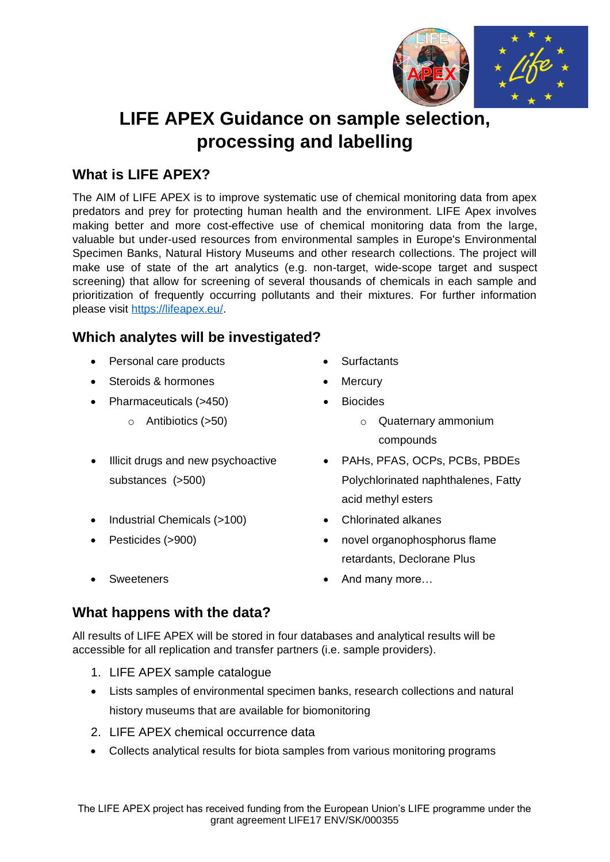

# **LIFE APEX Guidance on sample selection, processing and labelling**

# **What is LIFE APEX?**

The AIM of LIFE APEX is to improve systematic use of chemical monitoring data from apex predators and prey for protecting human health and the environment. LIFE Apex involves making better and more cost-effective use of chemical monitoring data from the large, valuable but under-used resources from environmental samples in Europe's Environmental Specimen Banks, Natural History Museums and other research collections. The project will make use of state of the art analytics (e.g. non-target, wide-scope target and suspect screening) that allow for screening of several thousands of chemicals in each sample and prioritization of frequently occurring pollutants and their mixtures. For further information please visit [https://lifeapex.eu/.](https://lifeapex.eu/)

## **Which analytes will be investigated?**

- Personal care products Surfactants
- Steroids & hormones Mercury
- Pharmaceuticals (>450)
	- o Antibiotics (>50)
- Illicit drugs and new psychoactive substances (>500)
- Industrial Chemicals (>100) Chlorinated alkanes
- 
- 
- 
- Biocides
	- o Quaternary ammonium compounds
- PAHs, PFAS, OCPs, PCBs, PBDEs Polychlorinated naphthalenes, Fatty acid methyl esters
- 
- Pesticides (>900) **•** novel organophosphorus flame retardants, Declorane Plus
- - **Sweeteners** And many more…

## **What happens with the data?**

All results of LIFE APEX will be stored in four databases and analytical results will be accessible for all replication and transfer partners (i.e. sample providers).

- 1. LIFE APEX sample catalogue
- Lists samples of environmental specimen banks, research collections and natural history museums that are available for biomonitoring
- 2. LIFE APEX chemical occurrence data
- Collects analytical results for biota samples from various monitoring programs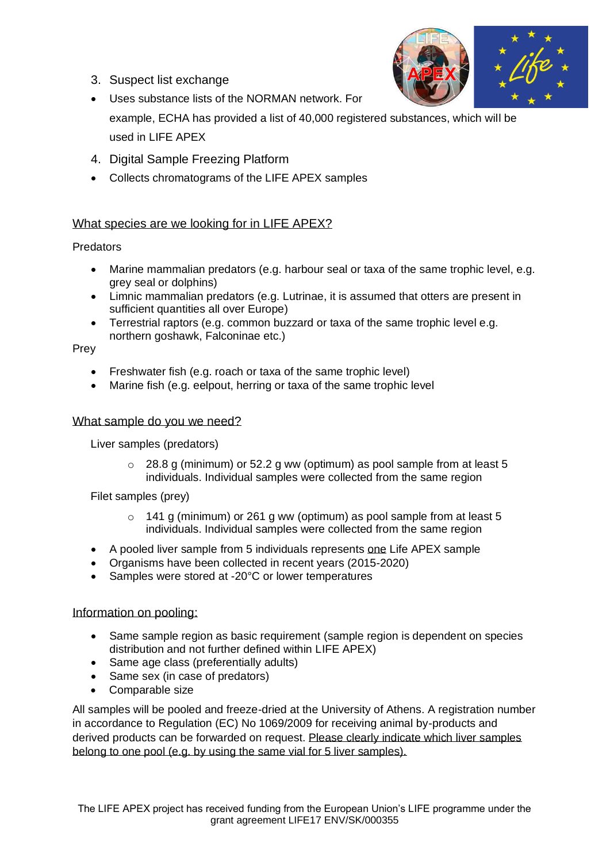- 3. Suspect list exchange
- Uses substance lists of the NORMAN network. For example, ECHA has provided a list of 40,000 registered substances, which will be used in LIFE APEX
- 4. Digital Sample Freezing Platform
- Collects chromatograms of the LIFE APEX samples

## What species are we looking for in LIFE APEX?

## **Predators**

- Marine mammalian predators (e.g. harbour seal or taxa of the same trophic level, e.g. grey seal or dolphins)
- Limnic mammalian predators (e.g. Lutrinae, it is assumed that otters are present in sufficient quantities all over Europe)
- Terrestrial raptors (e.g. common buzzard or taxa of the same trophic level e.g. northern goshawk, Falconinae etc.)

Prey

- Freshwater fish (e.g. roach or taxa of the same trophic level)
- Marine fish (e.g. eelpout, herring or taxa of the same trophic level

#### What sample do you we need?

Liver samples (predators)

 $\circ$  28.8 g (minimum) or 52.2 g ww (optimum) as pool sample from at least 5 individuals. Individual samples were collected from the same region

Filet samples (prey)

- o 141 g (minimum) or 261 g ww (optimum) as pool sample from at least 5 individuals. Individual samples were collected from the same region
- A pooled liver sample from 5 individuals represents one Life APEX sample
- Organisms have been collected in recent years (2015-2020)
- Samples were stored at -20°C or lower temperatures

#### Information on pooling:

- Same sample region as basic requirement (sample region is dependent on species distribution and not further defined within LIFE APEX)
- Same age class (preferentially adults)
- Same sex (in case of predators)
- Comparable size

All samples will be pooled and freeze-dried at the University of Athens. A registration number in accordance to Regulation (EC) No 1069/2009 for receiving animal by-products and derived products can be forwarded on request. Please clearly indicate which liver samples belong to one pool (e.g. by using the same vial for 5 liver samples).

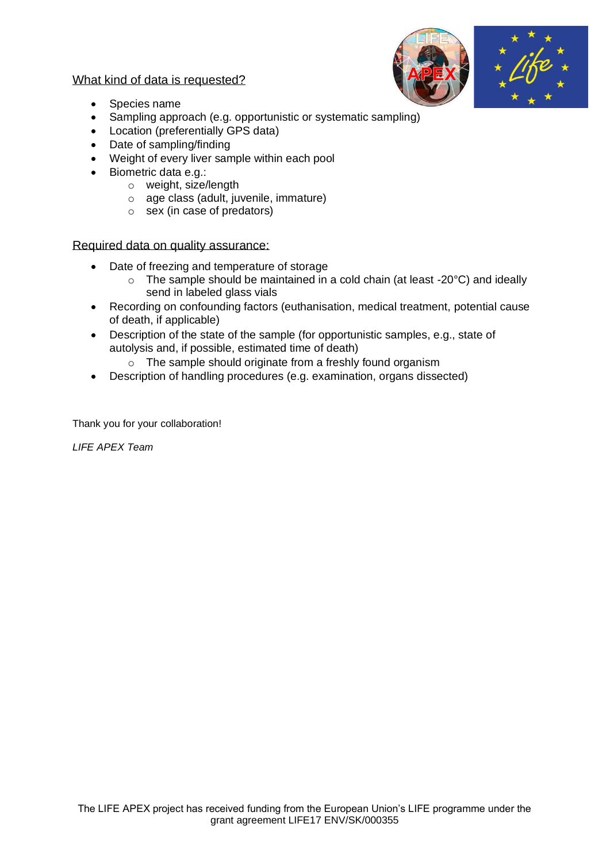What kind of data is requested?



- Species name
- Sampling approach (e.g. opportunistic or systematic sampling)
- Location (preferentially GPS data)
- Date of sampling/finding
- Weight of every liver sample within each pool
- Biometric data e.g.:
	- o weight, size/length
	- o age class (adult, juvenile, immature)
	- o sex (in case of predators)

#### Required data on quality assurance:

- Date of freezing and temperature of storage
	- o The sample should be maintained in a cold chain (at least -20°C) and ideally send in labeled glass vials
- Recording on confounding factors (euthanisation, medical treatment, potential cause of death, if applicable)
- Description of the state of the sample (for opportunistic samples, e.g., state of autolysis and, if possible, estimated time of death)
	- o The sample should originate from a freshly found organism
- Description of handling procedures (e.g. examination, organs dissected)

Thank you for your collaboration!

*LIFE APEX Team*